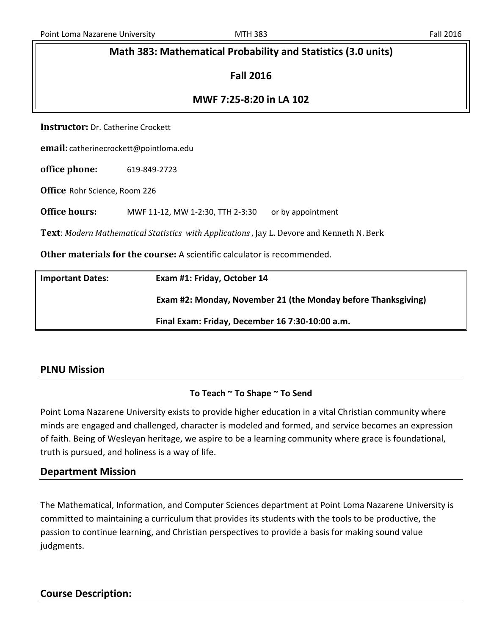## **Math 383: Mathematical Probability and Statistics (3.0 units)**

### **Fall 2016**

### **MWF 7:25-8:20 in LA 102**

**Instructor:** Dr. Catherine Crockett

**email:** catherinecrockett@pointloma.edu

**office phone:** 619-849-2723

**Office** Rohr Science, Room 226

**Office hours:** MWF 11-12, MW 1-2:30, TTH 2-3:30 or by appointment

**Text**: *Modern Mathematical Statistics with Applications* , Jay L. Devore and Kenneth N. Berk

**Other materials for the course:** A scientific calculator is recommended.

| <b>Important Dates:</b> | Exam #1: Friday, October 14                                   |
|-------------------------|---------------------------------------------------------------|
|                         | Exam #2: Monday, November 21 (the Monday before Thanksgiving) |
|                         | Final Exam: Friday, December 16 7:30-10:00 a.m.               |

### **PLNU Mission**

### **To Teach ~ To Shape ~ To Send**

Point Loma Nazarene University exists to provide higher education in a vital Christian community where minds are engaged and challenged, character is modeled and formed, and service becomes an expression of faith. Being of Wesleyan heritage, we aspire to be a learning community where grace is foundational, truth is pursued, and holiness is a way of life.

### **Department Mission**

The Mathematical, Information, and Computer Sciences department at Point Loma Nazarene University is committed to maintaining a curriculum that provides its students with the tools to be productive, the passion to continue learning, and Christian perspectives to provide a basis for making sound value judgments.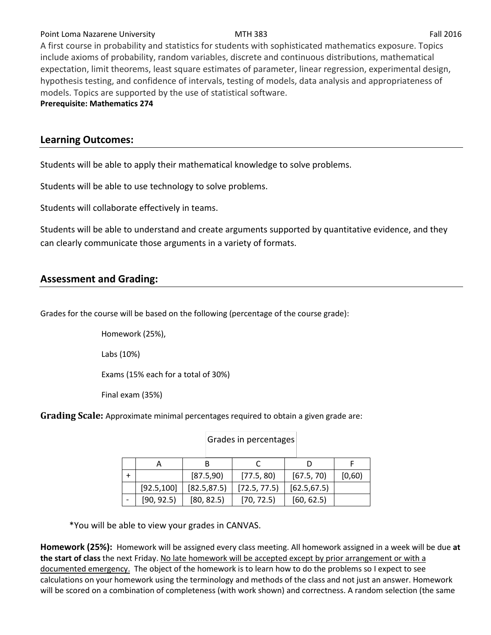### Point Loma Nazarene University **MTH 383** Fall 2016

A first course in probability and statistics for students with sophisticated mathematics exposure. Topics include axioms of probability, random variables, discrete and continuous distributions, mathematical expectation, limit theorems, least square estimates of parameter, linear regression, experimental design, hypothesis testing, and confidence of intervals, testing of models, data analysis and appropriateness of models. Topics are supported by the use of statistical software.

**Prerequisite: Mathematics 274**

## **Learning Outcomes:**

Students will be able to apply their mathematical knowledge to solve problems.

Students will be able to use technology to solve problems.

Students will collaborate effectively in teams.

Students will be able to understand and create arguments supported by quantitative evidence, and they can clearly communicate those arguments in a variety of formats.

# **Assessment and Grading:**

Grades for the course will be based on the following (percentage of the course grade):

Homework (25%),

Labs (10%)

Exams (15% each for a total of 30%)

Final exam (35%)

**Grading Scale:** Approximate minimal percentages required to obtain a given grade are:

|             | [87.5,90]    | [77.5, 80]   | [67.5, 70]   | [0,60) |
|-------------|--------------|--------------|--------------|--------|
| [92.5, 100] | [82.5, 87.5] | [72.5, 77.5] | [62.5, 67.5] |        |
| [90, 92.5]  | [80, 82.5]   | [70, 72.5]   | [60, 62.5]   |        |

Grades in percentages

\*You will be able to view your grades in CANVAS.

**Homework (25%):** Homework will be assigned every class meeting. All homework assigned in a week will be due **at the start of class** the next Friday. No late homework will be accepted except by prior arrangement or with a documented emergency. The object of the homework is to learn how to do the problems so I expect to see calculations on your homework using the terminology and methods of the class and not just an answer. Homework will be scored on a combination of completeness (with work shown) and correctness. A random selection (the same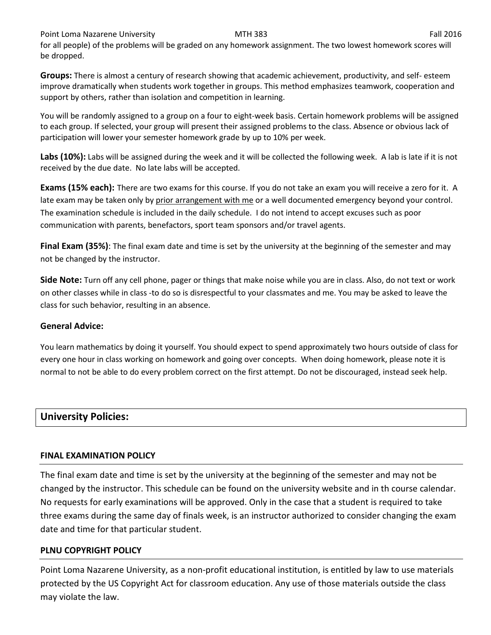Point Loma Nazarene University **MTH 383** Fall 2016

for all people) of the problems will be graded on any homework assignment. The two lowest homework scores will be dropped.

**Groups:** There is almost a century of research showing that academic achievement, productivity, and self- esteem improve dramatically when students work together in groups. This method emphasizes teamwork, cooperation and support by others, rather than isolation and competition in learning.

You will be randomly assigned to a group on a four to eight-week basis. Certain homework problems will be assigned to each group. If selected, your group will present their assigned problems to the class. Absence or obvious lack of participation will lower your semester homework grade by up to 10% per week.

Labs (10%): Labs will be assigned during the week and it will be collected the following week. A lab is late if it is not received by the due date. No late labs will be accepted.

**Exams (15% each):** There are two exams for this course. If you do not take an exam you will receive a zero for it. A late exam may be taken only by prior arrangement with me or a well documented emergency beyond your control. The examination schedule is included in the daily schedule. I do not intend to accept excuses such as poor communication with parents, benefactors, sport team sponsors and/or travel agents.

**Final Exam (35%)**: The final exam date and time is set by the university at the beginning of the semester and may not be changed by the instructor.

**Side Note:** Turn off any cell phone, pager or things that make noise while you are in class. Also, do not text or work on other classes while in class -to do so is disrespectful to your classmates and me. You may be asked to leave the class for such behavior, resulting in an absence.

### **General Advice:**

You learn mathematics by doing it yourself. You should expect to spend approximately two hours outside of class for every one hour in class working on homework and going over concepts. When doing homework, please note it is normal to not be able to do every problem correct on the first attempt. Do not be discouraged, instead seek help.

# **University Policies:**

### **FINAL EXAMINATION POLICY**

The final exam date and time is set by the university at the beginning of the semester and may not be changed by the instructor. This schedule can be found on the university website and in th course calendar. No requests for early examinations will be approved. Only in the case that a student is required to take three exams during the same day of finals week, is an instructor authorized to consider changing the exam date and time for that particular student.

## **PLNU COPYRIGHT POLICY**

Point Loma Nazarene University, as a non-profit educational institution, is entitled by law to use materials protected by the US Copyright Act for classroom education. Any use of those materials outside the class may violate the law.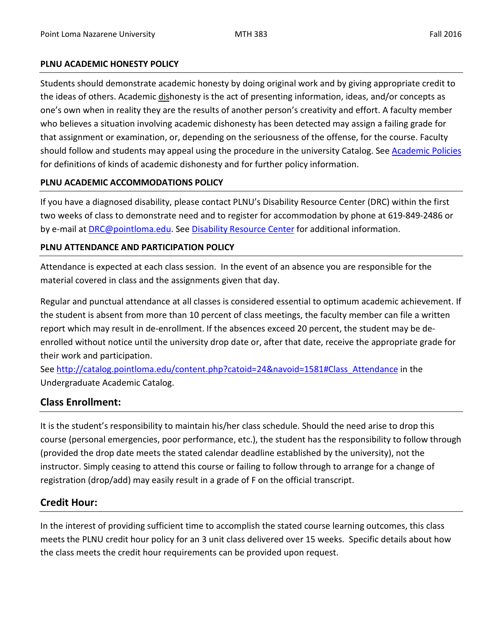### **PLNU ACADEMIC HONESTY POLICY**

Students should demonstrate academic honesty by doing original work and by giving appropriate credit to the ideas of others. Academic dishonesty is the act of presenting information, ideas, and/or concepts as one's own when in reality they are the results of another person's creativity and effort. A faculty member who believes a situation involving academic dishonesty has been detected may assign a failing grade for that assignment or examination, or, depending on the seriousness of the offense, for the course. Faculty should follow and students may appeal using the procedure in the university Catalog. See **Academic Policies** for definitions of kinds of academic dishonesty and for further policy information.

## **PLNU ACADEMIC ACCOMMODATIONS POLICY**

If you have a diagnosed disability, please contact PLNU's Disability Resource Center (DRC) within the first two weeks of class to demonstrate need and to register for accommodation by phone at 619-849-2486 or by e-mail at **DRC@pointloma.edu.** See **Disability Resource Center** for additional information.

## **PLNU ATTENDANCE AND PARTICIPATION POLICY**

Attendance is expected at each class session. In the event of an absence you are responsible for the material covered in class and the assignments given that day.

Regular and punctual attendance at all classes is considered essential to optimum academic achievement. If the student is absent from more than 10 percent of class meetings, the faculty member can file a written report which may result in de-enrollment. If the absences exceed 20 percent, the student may be deenrolled without notice until the university drop date or, after that date, receive the appropriate grade for their work and participation.

See [http://catalog.pointloma.edu/content.php?catoid=24&navoid=1581#Class\\_Attendance](http://catalog.pointloma.edu/content.php?catoid=24&navoid=1581#Class_Attendance) in the Undergraduate Academic Catalog.

# **Class Enrollment:**

It is the student's responsibility to maintain his/her class schedule. Should the need arise to drop this course (personal emergencies, poor performance, etc.), the student has the responsibility to follow through (provided the drop date meets the stated calendar deadline established by the university), not the instructor. Simply ceasing to attend this course or failing to follow through to arrange for a change of registration (drop/add) may easily result in a grade of F on the official transcript.

# **Credit Hour:**

In the interest of providing sufficient time to accomplish the stated course learning outcomes, this class meets the PLNU credit hour policy for an 3 unit class delivered over 15 weeks. Specific details about how the class meets the credit hour requirements can be provided upon request.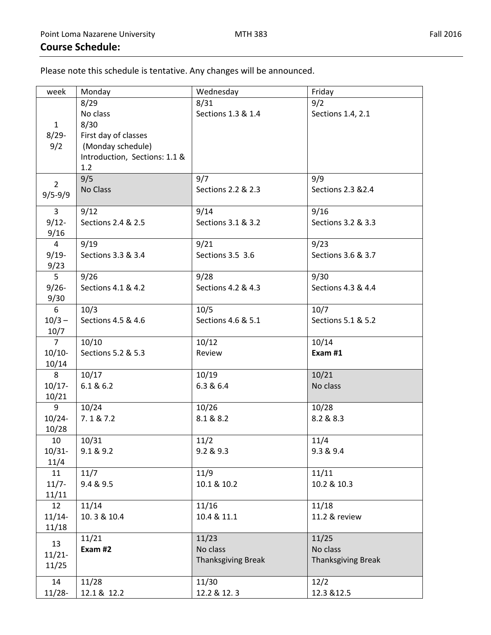Please note this schedule is tentative. Any changes will be announced.

| week           | Monday                        | Wednesday          | Friday             |
|----------------|-------------------------------|--------------------|--------------------|
|                | 8/29                          | 8/31               | 9/2                |
|                | No class                      | Sections 1.3 & 1.4 | Sections 1.4, 2.1  |
| $\mathbf{1}$   | 8/30                          |                    |                    |
| $8/29 -$       | First day of classes          |                    |                    |
| 9/2            | (Monday schedule)             |                    |                    |
|                | Introduction, Sections: 1.1 & |                    |                    |
|                | 1.2                           |                    |                    |
|                | 9/5                           | 9/7                | 9/9                |
| $\overline{2}$ | No Class                      | Sections 2.2 & 2.3 | Sections 2.3 & 2.4 |
| $9/5 - 9/9$    |                               |                    |                    |
| 3              | 9/12                          | 9/14               | 9/16               |
| $9/12 -$       | Sections 2.4 & 2.5            | Sections 3.1 & 3.2 | Sections 3.2 & 3.3 |
| 9/16           |                               |                    |                    |
| $\overline{4}$ | 9/19                          | 9/21               | 9/23               |
| $9/19 -$       | Sections 3.3 & 3.4            | Sections 3.5 3.6   | Sections 3.6 & 3.7 |
| 9/23           |                               |                    |                    |
| 5              | 9/26                          | 9/28               | 9/30               |
| $9/26 -$       | Sections 4.1 & 4.2            | Sections 4.2 & 4.3 | Sections 4.3 & 4.4 |
| 9/30           |                               |                    |                    |
| $6\,$          | 10/3                          | 10/5               | 10/7               |
| $10/3 -$       | Sections 4.5 & 4.6            | Sections 4.6 & 5.1 | Sections 5.1 & 5.2 |
| 10/7           |                               |                    |                    |
| $\overline{7}$ | 10/10                         | 10/12              | 10/14              |
| $10/10-$       | Sections 5.2 & 5.3            | Review             | Exam #1            |
| 10/14          |                               |                    |                    |
| 8              | 10/17                         | 10/19              | 10/21              |
| $10/17 -$      | 6.1 & 6.2                     | 6.3 & 6.4          | No class           |
| 10/21          |                               |                    |                    |
| 9              | 10/24                         | 10/26              | 10/28              |
| $10/24 -$      | 7.1 & 7.2                     | 8.1 & 8.2          | 8.2 & 8.3          |
| 10/28          |                               |                    |                    |
| 10             | 10/31                         | 11/2               | 11/4               |
| $10/31 -$      | 9.1 & 9.2                     | 9.2 & 9.3          | 9.3 & 9.4          |
| 11/4           |                               |                    |                    |
| 11             | 11/7                          | 11/9               | 11/11              |
| $11/7 -$       | 9.4 & 9.5                     | 10.1 & 10.2        | 10.2 & 10.3        |
| 11/11          |                               |                    |                    |
| 12             | 11/14                         | 11/16              | 11/18              |
| $11/14-$       | 10.3 & 10.4                   | 10.4 & 11.1        | 11.2 & review      |
| 11/18          |                               |                    |                    |
|                | 11/21                         | 11/23              | 11/25              |
| 13             | Exam #2                       | No class           | No class           |
| $11/21 -$      |                               | Thanksgiving Break | Thanksgiving Break |
| 11/25          |                               |                    |                    |
| 14             | 11/28                         | 11/30              | 12/2               |
| $11/28 -$      | 12.1 & 12.2                   | 12.2 & 12.3        | 12.3 & 12.5        |